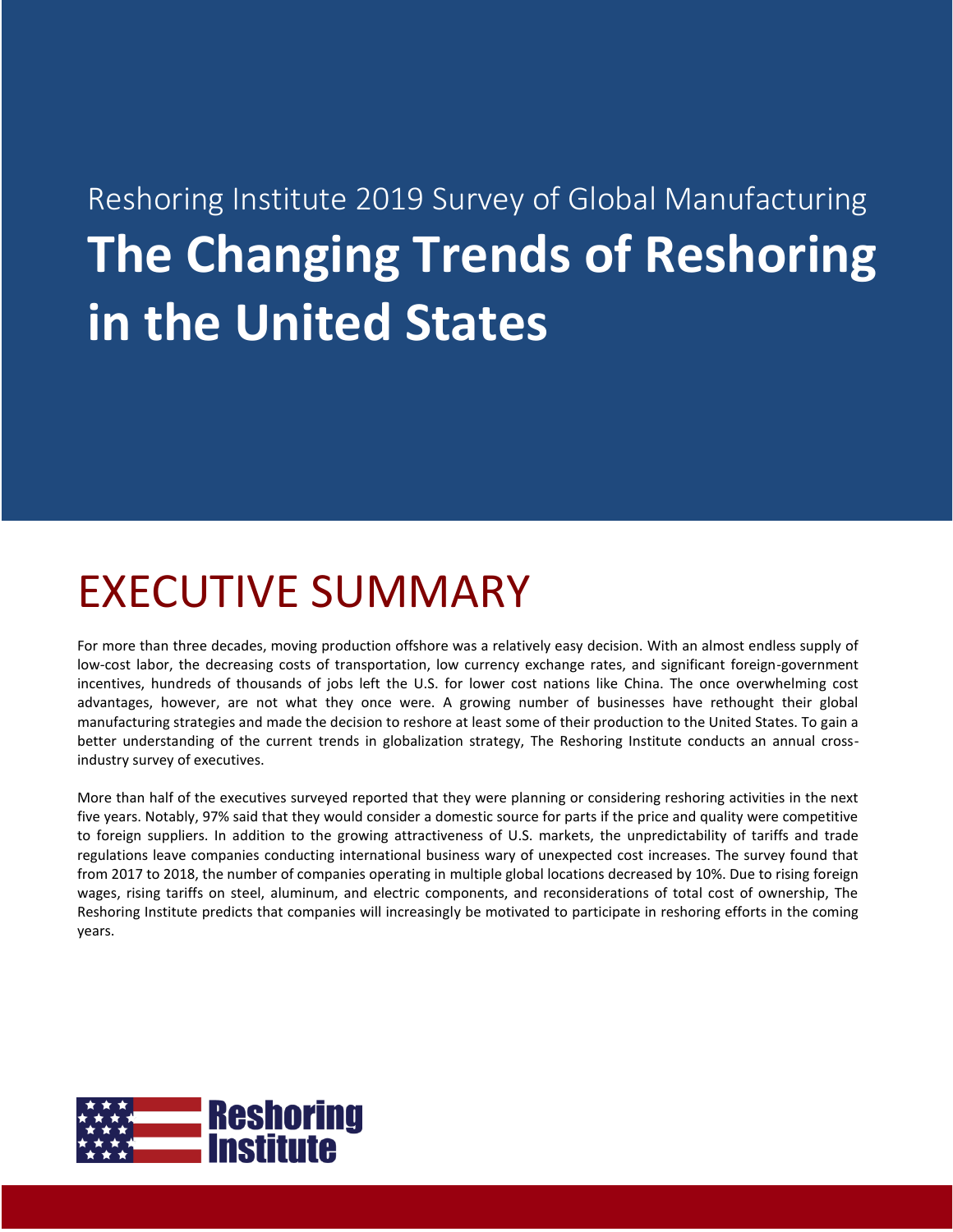# Reshoring Institute 2019 Survey of Global Manufacturing **The Changing Trends of Reshoring in the United States**

## EXECUTIVE SUMMARY

For more than three decades, moving production offshore was a relatively easy decision. With an almost endless supply of low-cost labor, the decreasing costs of transportation, low currency exchange rates, and significant foreign-government incentives, hundreds of thousands of jobs left the U.S. for lower cost nations like China. The once overwhelming cost advantages, however, are not what they once were. A growing number of businesses have rethought their global manufacturing strategies and made the decision to reshore at least some of their production to the United States. To gain a better understanding of the current trends in globalization strategy, The Reshoring Institute conducts an annual crossindustry survey of executives.

More than half of the executives surveyed reported that they were planning or considering reshoring activities in the next five years. Notably, 97% said that they would consider a domestic source for parts if the price and quality were competitive to foreign suppliers. In addition to the growing attractiveness of U.S. markets, the unpredictability of tariffs and trade regulations leave companies conducting international business wary of unexpected cost increases. The survey found that from 2017 to 2018, the number of companies operating in multiple global locations decreased by 10%. Due to rising foreign wages, rising tariffs on steel, aluminum, and electric components, and reconsiderations of total cost of ownership, The Reshoring Institute predicts that companies will increasingly be motivated to participate in reshoring efforts in the coming years.

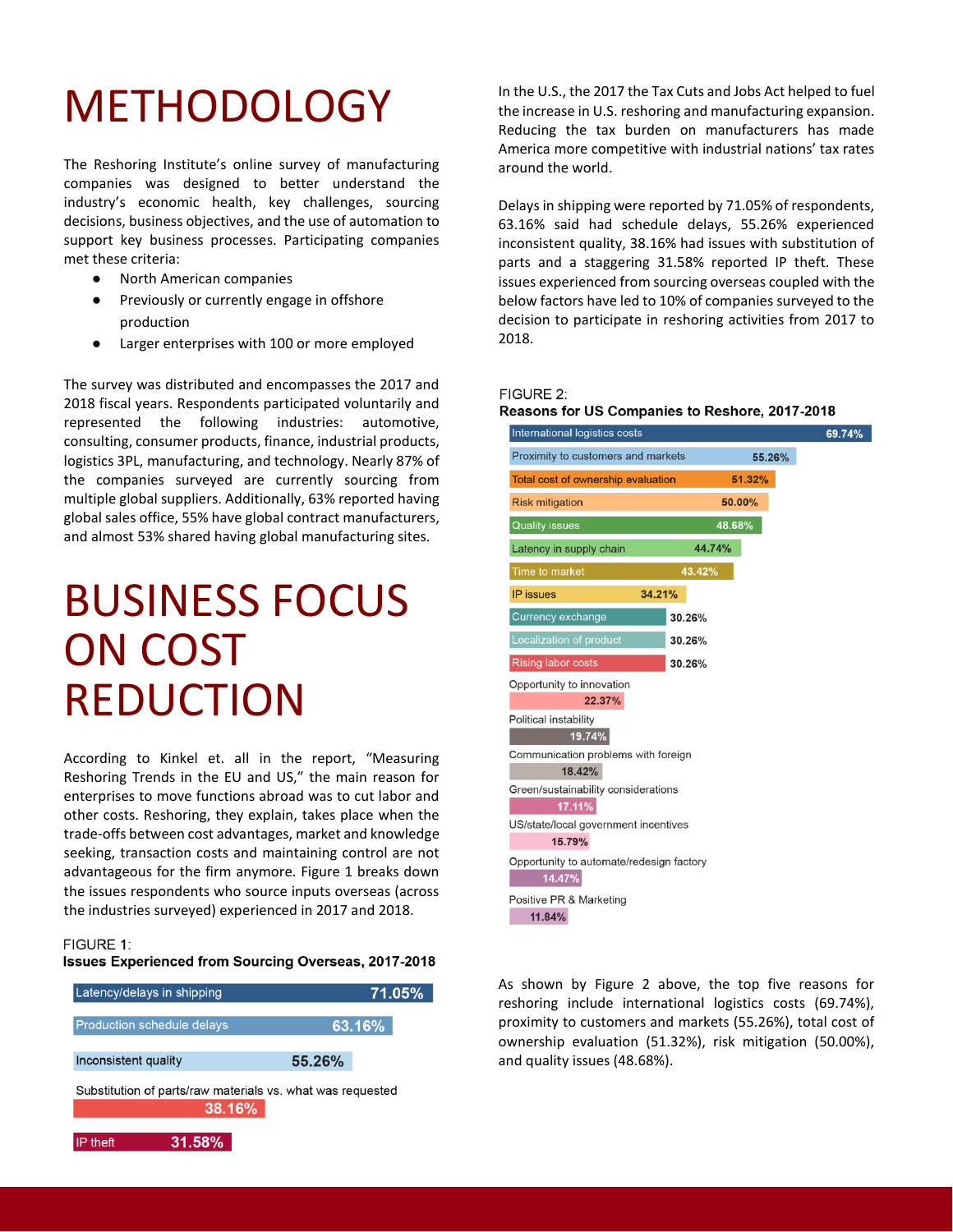## METHODOLOGY

The Reshoring Institute's online survey of manufacturing companies was designed to better understand the industry's economic health, key challenges, sourcing decisions, business objectives, and the use of automation to support key business processes. Participating companies met these criteria:

- North American companies
- Previously or currently engage in offshore production
- Larger enterprises with 100 or more employed

The survey was distributed and encompasses the 2017 and 2018 fiscal years. Respondents participated voluntarily and represented the following industries: automotive, consulting, consumer products, finance, industrial products, logistics 3PL, manufacturing, and technology. Nearly 87% of the companies surveyed are currently sourcing from multiple global suppliers. Additionally, 63% reported having global sales office, 55% have global contract manufacturers, and almost 53% shared having global manufacturing sites.

## BUSINESS FOCUS ON COST REDUCTION

According to Kinkel et. all in the report, "Measuring Reshoring Trends in the EU and US," the main reason for enterprises to move functions abroad was to cut labor and other costs. Reshoring, they explain, takes place when the trade-offs between cost advantages, market and knowledge seeking, transaction costs and maintaining control are not advantageous for the firm anymore. Figure 1 breaks down the issues respondents who source inputs overseas (across the industries surveyed) experienced in 2017 and 2018.

#### FIGURE 1:

### **Issues Experienced from Sourcing Overseas, 2017-2018**

| Latency/delays in shipping                                           |        | 71.05% |  |  |  |
|----------------------------------------------------------------------|--------|--------|--|--|--|
| <b>Production schedule delays</b>                                    |        | 63.16% |  |  |  |
| Inconsistent quality                                                 | 55.26% |        |  |  |  |
| Substitution of parts/raw materials vs. what was requested<br>38.16% |        |        |  |  |  |
| 31.58%<br>P theft                                                    |        |        |  |  |  |

In the U.S., the 2017 the Tax Cuts and Jobs Act helped to fuel the increase in U.S. reshoring and manufacturing expansion. Reducing the tax burden on manufacturers has made America more competitive with industrial nations' tax rates around the world.

Delays in shipping were reported by 71.05% of respondents, 63.16% said had schedule delays, 55.26% experienced inconsistent quality, 38.16% had issues with substitution of parts and a staggering 31.58% reported IP theft. These issues experienced from sourcing overseas coupled with the below factors have led to 10% of companies surveyed to the decision to participate in reshoring activities from 2017 to 2018.

### FIGURE 2:

Reasons for US Companies to Reshore, 2017-2018

| International logistics costs            |        |        |        |  | 69.74% |
|------------------------------------------|--------|--------|--------|--|--------|
| Proximity to customers and markets       |        |        | 55.26% |  |        |
| Total cost of ownership evaluation       |        | 51.32% |        |  |        |
| <b>Risk mitigation</b>                   |        |        | 50.00% |  |        |
| <b>Quality issues</b>                    |        | 48.68% |        |  |        |
| Latency in supply chain                  |        | 44.74% |        |  |        |
| Time to market                           |        | 43.42% |        |  |        |
| <b>IP</b> issues                         | 34.21% |        |        |  |        |
| Currency exchange                        | 30.26% |        |        |  |        |
| Localization of product                  | 30.26% |        |        |  |        |
| <b>Rising labor costs</b>                | 30.26% |        |        |  |        |
| Opportunity to innovation                |        |        |        |  |        |
| 22.37%                                   |        |        |        |  |        |
| Political instability<br>19.74%          |        |        |        |  |        |
| Communication problems with foreign      |        |        |        |  |        |
| 18.42%                                   |        |        |        |  |        |
| Green/sustainability considerations      |        |        |        |  |        |
| 17.11%                                   |        |        |        |  |        |
| US/state/local government incentives     |        |        |        |  |        |
| 15.79%                                   |        |        |        |  |        |
| Opportunity to automate/redesign factory |        |        |        |  |        |
| 14.47%                                   |        |        |        |  |        |
| Positive PR & Marketing                  |        |        |        |  |        |
| 11.84%                                   |        |        |        |  |        |

As shown by Figure 2 above, the top five reasons for reshoring include international logistics costs (69.74%), proximity to customers and markets (55.26%), total cost of ownership evaluation (51.32%), risk mitigation (50.00%), and quality issues (48.68%).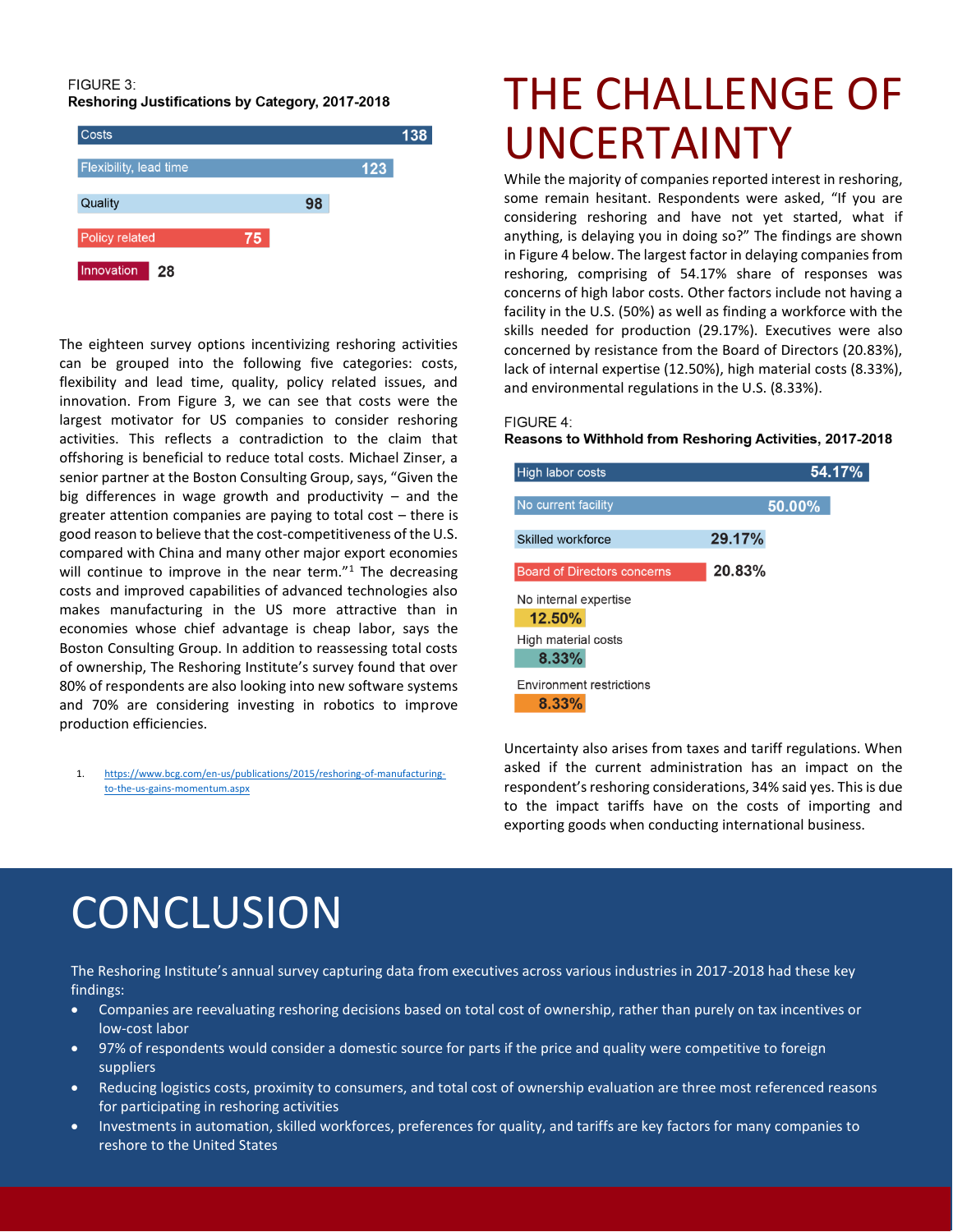$FIGURE 3.$ 

Reshoring Justifications by Category, 2017-2018



The eighteen survey options incentivizing reshoring activities can be grouped into the following five categories: costs, flexibility and lead time, quality, policy related issues, and innovation. From Figure 3, we can see that costs were the largest motivator for US companies to consider reshoring activities. This reflects a contradiction to the claim that offshoring is beneficial to reduce total costs. Michael Zinser, a senior partner at the Boston Consulting Group, says, "Given the big differences in wage growth and productivity  $-$  and the greater attention companies are paying to total cost – there is good reason to believe that the cost-competitiveness of the U.S. compared with China and many other major export economies will continue to improve in the near term."<sup>1</sup> The decreasing costs and improved capabilities of advanced technologies also makes manufacturing in the US more attractive than in economies whose chief advantage is cheap labor, says the Boston Consulting Group. In addition to reassessing total costs of ownership, The Reshoring Institute's survey found that over 80% of respondents are also looking into new software systems and 70% are considering investing in robotics to improve production efficiencies.

1. [https://www.bcg.com/en-us/publications/2015/reshoring-of-manufacturing](https://www.bcg.com/en-us/publications/2015/reshoring-of-manufacturing-to-the-us-gains-momentum.aspx)[to-the-us-gains-momentum.aspx](https://www.bcg.com/en-us/publications/2015/reshoring-of-manufacturing-to-the-us-gains-momentum.aspx)

### THE CHALLENGE OF UNCERTAINTY

While the majority of companies reported interest in reshoring, some remain hesitant. Respondents were asked, "If you are considering reshoring and have not yet started, what if anything, is delaying you in doing so?" The findings are shown in Figure 4 below. The largest factor in delaying companies from reshoring, comprising of 54.17% share of responses was concerns of high labor costs. Other factors include not having a facility in the U.S. (50%) as well as finding a workforce with the skills needed for production (29.17%). Executives were also concerned by resistance from the Board of Directors (20.83%), lack of internal expertise (12.50%), high material costs (8.33%), and environmental regulations in the U.S. (8.33%).

#### FIGURE 4:

#### Reasons to Withhold from Reshoring Activities, 2017-2018

| <b>High labor costs</b>                  | 54.17% |
|------------------------------------------|--------|
| No current facility                      | 50.00% |
| Skilled workforce                        | 29.17% |
| <b>Board of Directors concerns</b>       | 20.83% |
| No internal expertise<br>12.50%          |        |
| High material costs<br>8.33%             |        |
| <b>Environment restrictions</b><br>8.33% |        |

Uncertainty also arises from taxes and tariff regulations. When asked if the current administration has an impact on the respondent's reshoring considerations, 34% said yes. This is due to the impact tariffs have on the costs of importing and exporting goods when conducting international business.

# **CONCLUSION**

The Reshoring Institute's annual survey capturing data from executives across various industries in 2017-2018 had these key findings:

- Companies are reevaluating reshoring decisions based on total cost of ownership, rather than purely on tax incentives or low-cost labor
- 97% of respondents would consider a domestic source for parts if the price and quality were competitive to foreign **suppliers**
- Reducing logistics costs, proximity to consumers, and total cost of ownership evaluation are three most referenced reasons for participating in reshoring activities
- Investments in automation, skilled workforces, preferences for quality, and tariffs are key factors for many companies to reshore to the United States